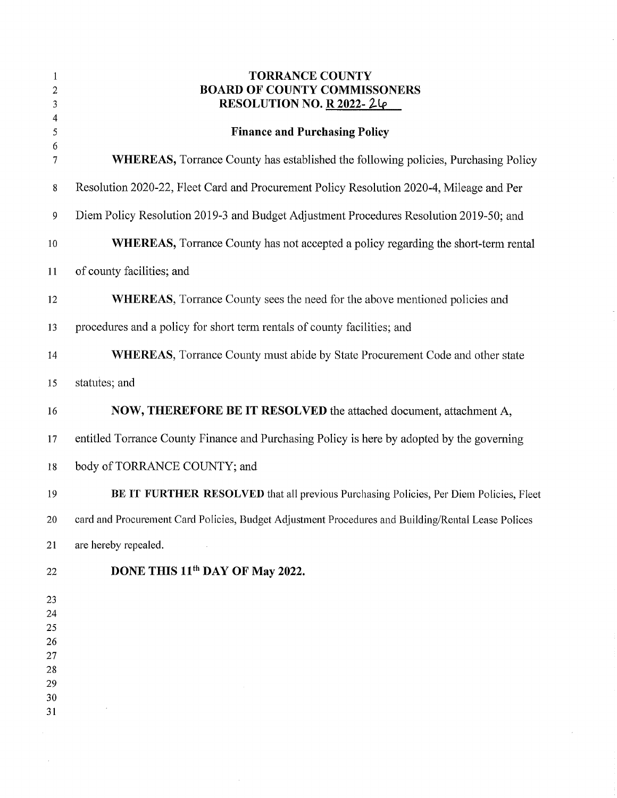| 1<br>2           | <b>TORRANCE COUNTY</b><br><b>BOARD OF COUNTY COMMISSONERS</b>                                      |
|------------------|----------------------------------------------------------------------------------------------------|
| 3                | RESOLUTION NO. R 2022-24                                                                           |
| 4<br>5           | <b>Finance and Purchasing Policy</b>                                                               |
| 6<br>7           | <b>WHEREAS,</b> Torrance County has established the following policies, Purchasing Policy          |
| 8                | Resolution 2020-22, Fleet Card and Procurement Policy Resolution 2020-4, Mileage and Per           |
| $\boldsymbol{9}$ | Diem Policy Resolution 2019-3 and Budget Adjustment Procedures Resolution 2019-50; and             |
| 10               | <b>WHEREAS</b> , Torrance County has not accepted a policy regarding the short-term rental         |
| 11               | of county facilities; and                                                                          |
| 12               | <b>WHEREAS</b> , Torrance County sees the need for the above mentioned policies and                |
| 13               | procedures and a policy for short term rentals of county facilities; and                           |
| 14               | <b>WHEREAS</b> , Torrance County must abide by State Procurement Code and other state              |
| 15               | statutes; and                                                                                      |
| 16               | NOW, THEREFORE BE IT RESOLVED the attached document, attachment A,                                 |
| 17               | entitled Torrance County Finance and Purchasing Policy is here by adopted by the governing         |
| 18               | body of TORRANCE COUNTY; and                                                                       |
| 19               | BE IT FURTHER RESOLVED that all previous Purchasing Policies, Per Diem Policies, Fleet             |
| 20               | card and Procurement Card Policies, Budget Adjustment Procedures and Building/Rental Lease Polices |
| 21               | are hereby repealed.                                                                               |
| 22               | DONE THIS 11 <sup>th</sup> DAY OF May 2022.                                                        |
| 23               |                                                                                                    |
| 24               |                                                                                                    |
| 25<br>26         |                                                                                                    |
| 27               |                                                                                                    |
| 28               |                                                                                                    |
| 29               |                                                                                                    |
| 30<br>31         |                                                                                                    |
|                  |                                                                                                    |

 $\sim$ 

 $\hat{\boldsymbol{\beta}}$ 

 $\epsilon$